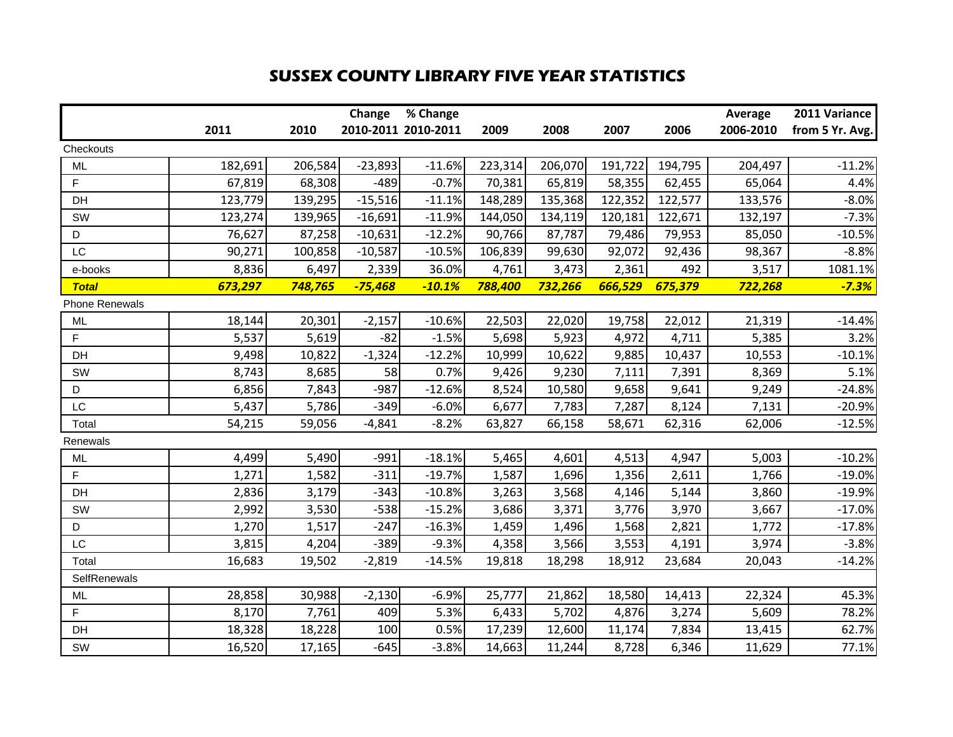## **SUSSEX COUNTY LIBRARY FIVE YEAR STATISTICS**

|                       |         |         | Change    | % Change            |         |         |         |         | <b>Average</b> | 2011 Variance   |
|-----------------------|---------|---------|-----------|---------------------|---------|---------|---------|---------|----------------|-----------------|
|                       | 2011    | 2010    |           | 2010-2011 2010-2011 | 2009    | 2008    | 2007    | 2006    | 2006-2010      | from 5 Yr. Avg. |
| Checkouts             |         |         |           |                     |         |         |         |         |                |                 |
| <b>ML</b>             | 182,691 | 206,584 | $-23,893$ | $-11.6%$            | 223,314 | 206,070 | 191,722 | 194,795 | 204,497        | $-11.2%$        |
| F.                    | 67,819  | 68,308  | $-489$    | $-0.7%$             | 70,381  | 65,819  | 58,355  | 62,455  | 65,064         | 4.4%            |
| DH                    | 123,779 | 139,295 | $-15,516$ | $-11.1%$            | 148,289 | 135,368 | 122,352 | 122,577 | 133,576        | $-8.0%$         |
| SW                    | 123,274 | 139,965 | $-16,691$ | $-11.9%$            | 144,050 | 134,119 | 120,181 | 122,671 | 132,197        | $-7.3%$         |
| D                     | 76,627  | 87,258  | $-10,631$ | $-12.2%$            | 90,766  | 87,787  | 79,486  | 79,953  | 85,050         | $-10.5%$        |
| LC                    | 90,271  | 100,858 | $-10,587$ | $-10.5%$            | 106,839 | 99,630  | 92,072  | 92,436  | 98,367         | $-8.8%$         |
| e-books               | 8,836   | 6,497   | 2,339     | 36.0%               | 4,761   | 3,473   | 2,361   | 492     | 3,517          | 1081.1%         |
| <b>Total</b>          | 673,297 | 748,765 | $-75,468$ | $-10.1%$            | 788,400 | 732,266 | 666,529 | 675,379 | 722,268        | $-7.3%$         |
| <b>Phone Renewals</b> |         |         |           |                     |         |         |         |         |                |                 |
| <b>ML</b>             | 18,144  | 20,301  | $-2,157$  | $-10.6%$            | 22,503  | 22,020  | 19,758  | 22,012  | 21,319         | $-14.4%$        |
| F                     | 5,537   | 5,619   | $-82$     | $-1.5%$             | 5,698   | 5,923   | 4,972   | 4,711   | 5,385          | 3.2%            |
| DH                    | 9,498   | 10,822  | $-1,324$  | $-12.2%$            | 10,999  | 10,622  | 9,885   | 10,437  | 10,553         | $-10.1%$        |
| SW                    | 8,743   | 8,685   | 58        | 0.7%                | 9,426   | 9,230   | 7,111   | 7,391   | 8,369          | 5.1%            |
| D                     | 6,856   | 7,843   | $-987$    | $-12.6%$            | 8,524   | 10,580  | 9,658   | 9,641   | 9,249          | $-24.8%$        |
| LC                    | 5,437   | 5,786   | $-349$    | $-6.0%$             | 6,677   | 7,783   | 7,287   | 8,124   | 7,131          | $-20.9%$        |
| Total                 | 54,215  | 59,056  | $-4,841$  | $-8.2%$             | 63,827  | 66,158  | 58,671  | 62,316  | 62,006         | $-12.5%$        |
| Renewals              |         |         |           |                     |         |         |         |         |                |                 |
| <b>ML</b>             | 4,499   | 5,490   | $-991$    | $-18.1%$            | 5,465   | 4,601   | 4,513   | 4,947   | 5,003          | $-10.2%$        |
| F                     | 1,271   | 1,582   | $-311$    | $-19.7%$            | 1,587   | 1,696   | 1,356   | 2,611   | 1,766          | $-19.0%$        |
| DH                    | 2,836   | 3,179   | $-343$    | $-10.8%$            | 3,263   | 3,568   | 4,146   | 5,144   | 3,860          | $-19.9%$        |
| SW                    | 2,992   | 3,530   | $-538$    | $-15.2%$            | 3,686   | 3,371   | 3,776   | 3,970   | 3,667          | $-17.0%$        |
| D                     | 1,270   | 1,517   | $-247$    | $-16.3%$            | 1,459   | 1,496   | 1,568   | 2,821   | 1,772          | $-17.8%$        |
| LC                    | 3,815   | 4,204   | $-389$    | $-9.3%$             | 4,358   | 3,566   | 3,553   | 4,191   | 3,974          | $-3.8%$         |
| Total                 | 16,683  | 19,502  | $-2,819$  | $-14.5%$            | 19,818  | 18,298  | 18,912  | 23,684  | 20,043         | $-14.2%$        |
| SelfRenewals          |         |         |           |                     |         |         |         |         |                |                 |
| <b>ML</b>             | 28,858  | 30,988  | $-2,130$  | $-6.9%$             | 25,777  | 21,862  | 18,580  | 14,413  | 22,324         | 45.3%           |
| F.                    | 8,170   | 7,761   | 409       | 5.3%                | 6,433   | 5,702   | 4,876   | 3,274   | 5,609          | 78.2%           |
| DH                    | 18,328  | 18,228  | 100       | 0.5%                | 17,239  | 12,600  | 11,174  | 7,834   | 13,415         | 62.7%           |
| SW                    | 16,520  | 17,165  | $-645$    | $-3.8%$             | 14,663  | 11,244  | 8,728   | 6,346   | 11,629         | 77.1%           |